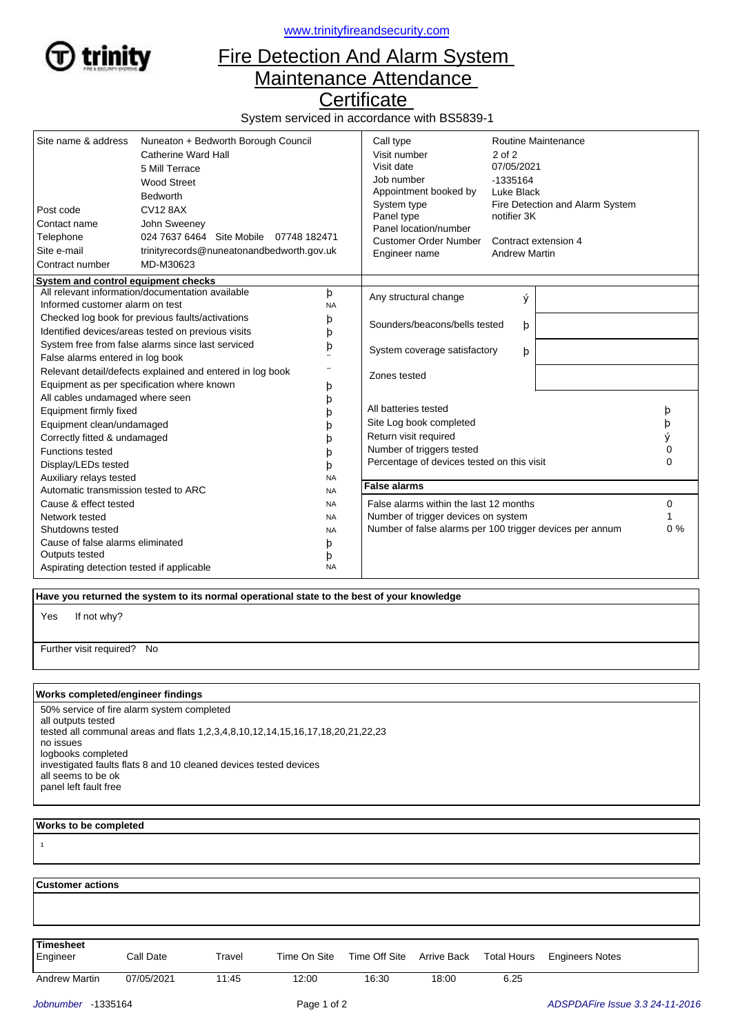

<www.trinityfireandsecurity.com>

## Fire Detection And Alarm System Maintenance Attendance

**Certificate** 

System serviced in accordance with BS5839-1

| Site name & address<br>Post code<br>Contact name<br>Telephone<br>Site e-mail | Nuneaton + Bedworth Borough Council<br>Catherine Ward Hall<br>5 Mill Terrace<br><b>Wood Street</b><br><b>Bedworth</b><br><b>CV12 8AX</b><br>John Sweeney<br>024 7637 6464 Site Mobile 07748 182471<br>trinityrecords@nuneatonandbedworth.gov.uk |                                   | Call type<br>Visit number<br>Visit date<br>Job number<br>Appointment booked by<br>System type<br>Panel type<br>Panel location/number<br><b>Customer Order Number</b><br>Engineer name | $2$ of $2$<br>07/05/2021<br>-1335164<br>Luke Black<br>notifier 3K<br><b>Andrew Martin</b> | Routine Maintenance<br>Fire Detection and Alarm System<br>Contract extension 4 |        |
|------------------------------------------------------------------------------|-------------------------------------------------------------------------------------------------------------------------------------------------------------------------------------------------------------------------------------------------|-----------------------------------|---------------------------------------------------------------------------------------------------------------------------------------------------------------------------------------|-------------------------------------------------------------------------------------------|--------------------------------------------------------------------------------|--------|
| Contract number                                                              | MD-M30623                                                                                                                                                                                                                                       |                                   |                                                                                                                                                                                       |                                                                                           |                                                                                |        |
| System and control equipment checks                                          |                                                                                                                                                                                                                                                 |                                   |                                                                                                                                                                                       |                                                                                           |                                                                                |        |
| All relevant information/documentation available<br>þ                        |                                                                                                                                                                                                                                                 |                                   | Any structural change                                                                                                                                                                 | ý                                                                                         |                                                                                |        |
| Informed customer alarm on test<br><b>NA</b>                                 |                                                                                                                                                                                                                                                 |                                   |                                                                                                                                                                                       |                                                                                           |                                                                                |        |
| Checked log book for previous faults/activations<br>þ                        |                                                                                                                                                                                                                                                 | Sounders/beacons/bells tested     | þ                                                                                                                                                                                     |                                                                                           |                                                                                |        |
| Identified devices/areas tested on previous visits<br>þ                      |                                                                                                                                                                                                                                                 |                                   |                                                                                                                                                                                       |                                                                                           |                                                                                |        |
| System free from false alarms since last serviced<br>þ                       |                                                                                                                                                                                                                                                 | System coverage satisfactory<br>þ |                                                                                                                                                                                       |                                                                                           |                                                                                |        |
| False alarms entered in log book                                             |                                                                                                                                                                                                                                                 |                                   |                                                                                                                                                                                       |                                                                                           |                                                                                |        |
| Relevant detail/defects explained and entered in log book                    |                                                                                                                                                                                                                                                 | Zones tested                      |                                                                                                                                                                                       |                                                                                           |                                                                                |        |
| Equipment as per specification where known<br>þ                              |                                                                                                                                                                                                                                                 |                                   |                                                                                                                                                                                       |                                                                                           |                                                                                |        |
| All cables undamaged where seen<br>þ                                         |                                                                                                                                                                                                                                                 |                                   | All batteries tested                                                                                                                                                                  |                                                                                           |                                                                                |        |
| Equipment firmly fixed                                                       |                                                                                                                                                                                                                                                 |                                   | Site Log book completed                                                                                                                                                               |                                                                                           |                                                                                | þ      |
| Equipment clean/undamaged                                                    |                                                                                                                                                                                                                                                 |                                   | Return visit required                                                                                                                                                                 |                                                                                           |                                                                                | þ      |
| Correctly fitted & undamaged                                                 |                                                                                                                                                                                                                                                 |                                   | Number of triggers tested                                                                                                                                                             |                                                                                           |                                                                                | ý<br>0 |
| <b>Functions tested</b>                                                      |                                                                                                                                                                                                                                                 |                                   | Percentage of devices tested on this visit                                                                                                                                            |                                                                                           |                                                                                | 0      |
| Display/LEDs tested<br>þ                                                     |                                                                                                                                                                                                                                                 |                                   |                                                                                                                                                                                       |                                                                                           |                                                                                |        |
| Auxiliary relays tested<br><b>NA</b>                                         |                                                                                                                                                                                                                                                 | <b>False alarms</b>               |                                                                                                                                                                                       |                                                                                           |                                                                                |        |
| Automatic transmission tested to ARC<br><b>NA</b>                            |                                                                                                                                                                                                                                                 |                                   |                                                                                                                                                                                       |                                                                                           |                                                                                |        |
| Cause & effect tested<br><b>NA</b><br>Network tested                         |                                                                                                                                                                                                                                                 |                                   | False alarms within the last 12 months<br>Number of trigger devices on system                                                                                                         |                                                                                           |                                                                                | 0      |
| <b>NA</b><br>Shutdowns tested                                                |                                                                                                                                                                                                                                                 | <b>NA</b>                         | Number of false alarms per 100 trigger devices per annum                                                                                                                              |                                                                                           |                                                                                | $0\%$  |
| Cause of false alarms eliminated                                             |                                                                                                                                                                                                                                                 |                                   |                                                                                                                                                                                       |                                                                                           |                                                                                |        |
| Outputs tested                                                               |                                                                                                                                                                                                                                                 | þ<br>þ                            |                                                                                                                                                                                       |                                                                                           |                                                                                |        |
| Aspirating detection tested if applicable                                    |                                                                                                                                                                                                                                                 | <b>NA</b>                         |                                                                                                                                                                                       |                                                                                           |                                                                                |        |

 **Have you returned the system to its normal operational state to the best of your knowledge**

If not why? Yes

Further visit required? No

## **Works completed/engineer findings**

50% service of fire alarm system completed all outputs tested tested all communal areas and flats 1,2,3,4,8,10,12,14,15,16,17,18,20,21,22,23 no issues logbooks completed investigated faults flats 8 and 10 cleaned devices tested devices all seems to be ok panel left fault free

## **Works to be completed**

¹

| <b>Customer actions</b> |            |        |              |               |             |                    |                        |  |  |
|-------------------------|------------|--------|--------------|---------------|-------------|--------------------|------------------------|--|--|
|                         |            |        |              |               |             |                    |                        |  |  |
|                         |            |        |              |               |             |                    |                        |  |  |
| <b>Timesheet</b>        |            |        |              |               |             |                    |                        |  |  |
| Engineer                | Call Date  | Travel | Time On Site | Time Off Site | Arrive Back | <b>Total Hours</b> | <b>Engineers Notes</b> |  |  |
| <b>Andrew Martin</b>    | 07/05/2021 | 11:45  | 12:00        | 16:30         | 18:00       | 6.25               |                        |  |  |
|                         |            |        |              |               |             |                    |                        |  |  |